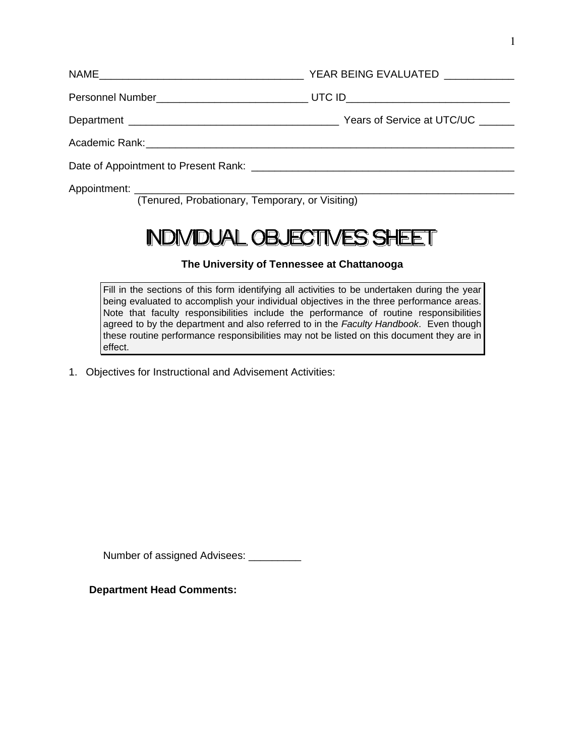| ٦ |  |  |
|---|--|--|
|   |  |  |
|   |  |  |
|   |  |  |

| (Tenured, Probationary, Temporary, or Visiting) |  |  |  |  |
|-------------------------------------------------|--|--|--|--|

# NDIVIDUAL OBJECTIVES SHEET

### **The University of Tennessee at Chattanooga**

Fill in the sections of this form identifying all activities to be undertaken during the year being evaluated to accomplish your individual objectives in the three performance areas. Note that faculty responsibilities include the performance of routine responsibilities agreed to by the department and also referred to in the *Faculty Handbook*. Even though these routine performance responsibilities may not be listed on this document they are in effect.

1. Objectives for Instructional and Advisement Activities:

Number of assigned Advisees: \_\_\_\_\_\_\_\_\_

 **Department Head Comments:**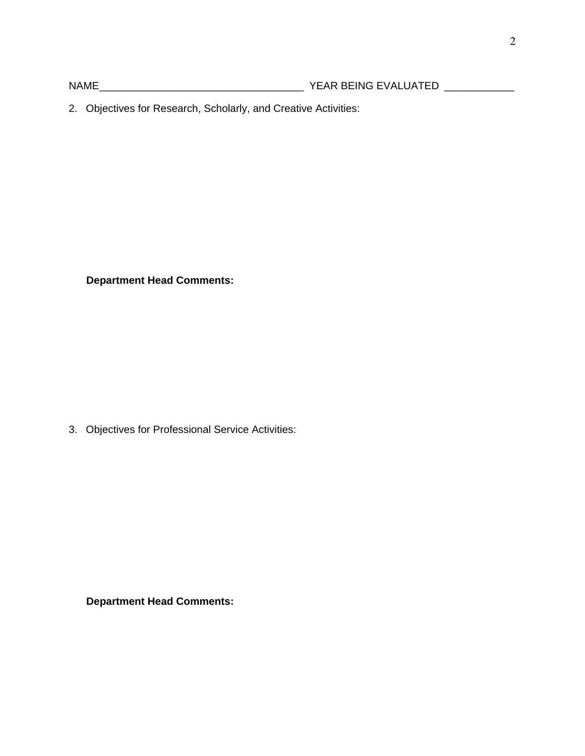NAME \_\_\_\_\_\_\_\_\_\_\_\_\_\_\_\_\_\_\_\_\_\_\_\_\_\_\_\_\_\_\_\_\_\_\_ YEAR BEING EVALUATED \_\_\_\_\_\_\_\_\_\_\_\_

2. Objectives for Research, Scholarly, and Creative Activities:

 **Department Head Comments:** 

3. Objectives for Professional Service Activities:

 **Department Head Comments:**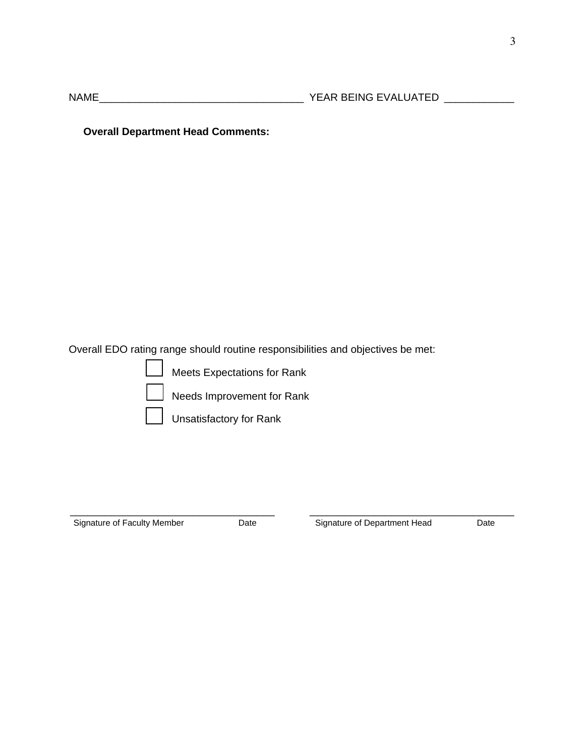NAME \_\_\_\_\_\_\_\_\_\_\_\_\_\_\_\_\_\_\_\_\_\_\_\_\_\_\_\_\_\_\_\_\_\_\_ YEAR BEING EVALUATED \_\_\_\_\_\_\_\_\_\_\_\_

 **Overall Department Head Comments:** 

Overall EDO rating range should routine responsibilities and objectives be met:

Meets Expectations for Rank

Needs Improvement for Rank

Unsatisfactory for Rank

Signature of Faculty Member **Date** Date **Department Head** Date Date

 $\overline{\phantom{a}}$  , and the contract of the contract of the contract of the contract of the contract of the contract of the contract of the contract of the contract of the contract of the contract of the contract of the contrac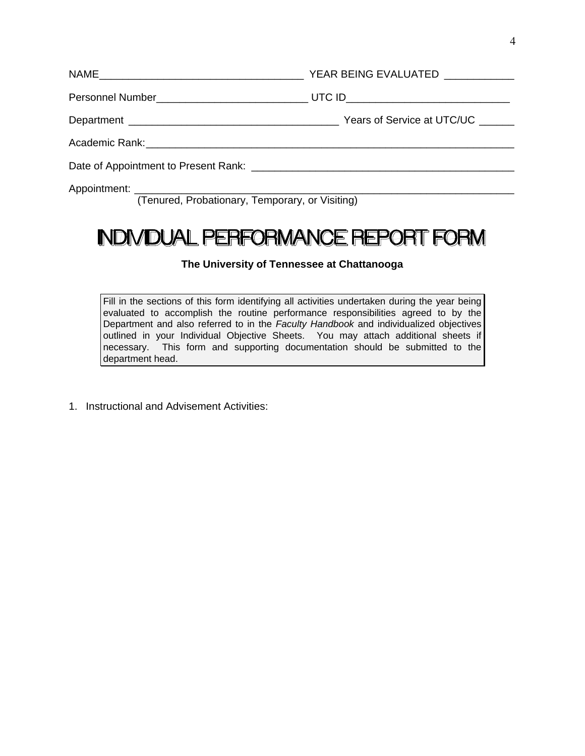(Tenured, Probationary, Temporary, or Visiting)

### **INDIVIDUAL PERFORMANCE REPORT FORM**

#### **The University of Tennessee at Chattanooga**

Fill in the sections of this form identifying all activities undertaken during the year being evaluated to accomplish the routine performance responsibilities agreed to by the Department and also referred to in the *Faculty Handbook* and individualized objectives outlined in your Individual Objective Sheets. You may attach additional sheets if necessary. This form and supporting documentation should be submitted to the department head.

1. Instructional and Advisement Activities: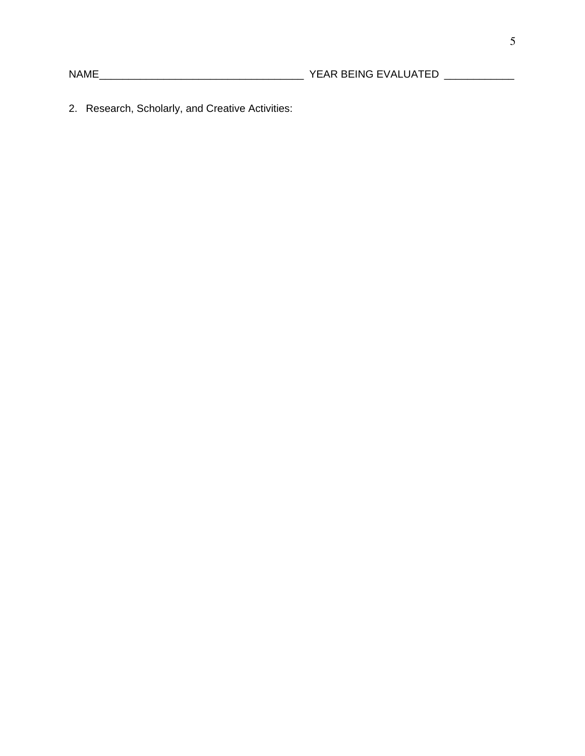2. Research, Scholarly, and Creative Activities: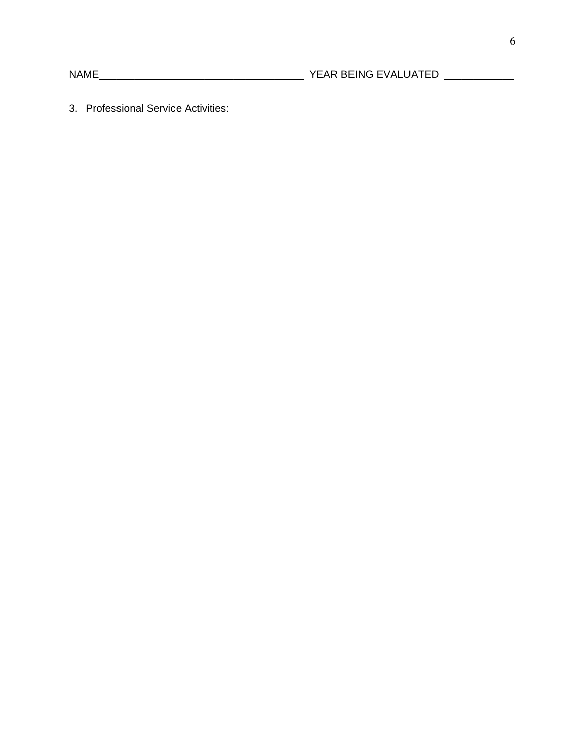3. Professional Service Activities: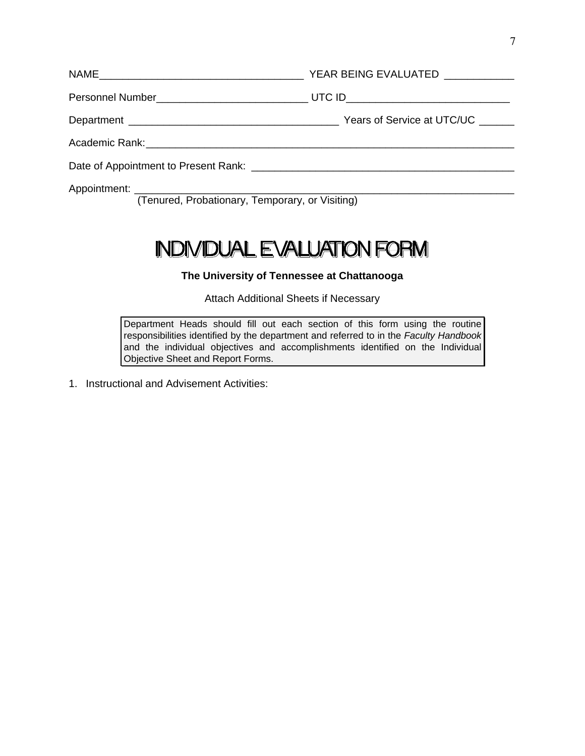| Appointment:<br><u> 1980 - Johann Barn, mars an t-Amerikaansk politiker (* 1908)</u> |  |  |  |
|--------------------------------------------------------------------------------------|--|--|--|

(Tenured, Probationary, Temporary, or Visiting)

## **INDIVIDUAL EVALUATION FORM**

#### **The University of Tennessee at Chattanooga**

Attach Additional Sheets if Necessary

Department Heads should fill out each section of this form using the routine responsibilities identified by the department and referred to in the *Faculty Handbook* and the individual objectives and accomplishments identified on the Individual Objective Sheet and Report Forms.

1. Instructional and Advisement Activities: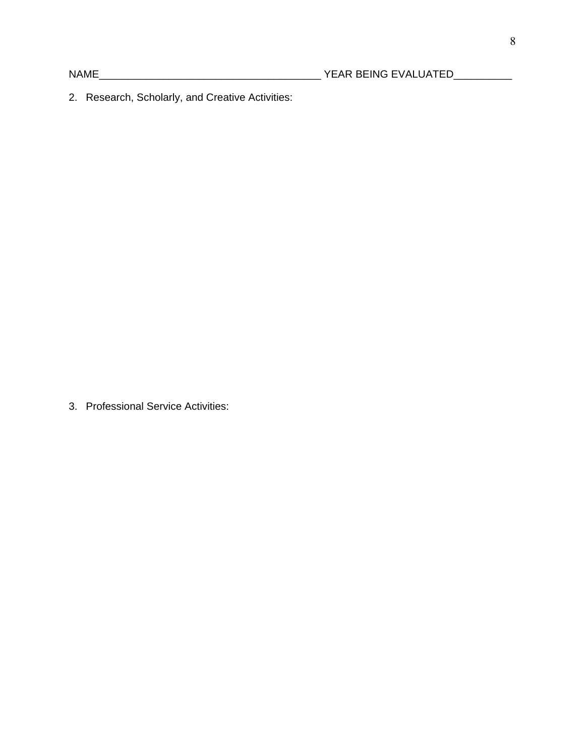2. Research, Scholarly, and Creative Activities:

3. Professional Service Activities: